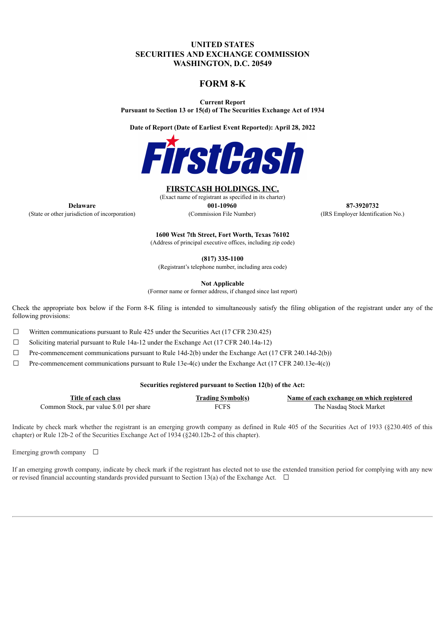# **UNITED STATES SECURITIES AND EXCHANGE COMMISSION WASHINGTON, D.C. 20549**

# **FORM 8-K**

**Current Report Pursuant to Section 13 or 15(d) of The Securities Exchange Act of 1934**

**Date of Report (Date of Earliest Event Reported): April 28, 2022**



### **FIRSTCASH HOLDINGS, INC.**

(Exact name of registrant as specified in its charter)

**Delaware 001-10960 87-3920732** (State or other jurisdiction of incorporation) (Commission File Number) (IRS Employer Identification No.)

**1600 West 7th Street, Fort Worth, Texas 76102** (Address of principal executive offices, including zip code)

**(817) 335-1100**

(Registrant's telephone number, including area code)

**Not Applicable**

(Former name or former address, if changed since last report)

Check the appropriate box below if the Form 8-K filing is intended to simultaneously satisfy the filing obligation of the registrant under any of the following provisions:

☐ Written communications pursuant to Rule 425 under the Securities Act (17 CFR 230.425)

 $\Box$  Soliciting material pursuant to Rule 14a-12 under the Exchange Act (17 CFR 240.14a-12)

 $\Box$  Pre-commencement communications pursuant to Rule 14d-2(b) under the Exchange Act (17 CFR 240.14d-2(b))

 $\Box$  Pre-commencement communications pursuant to Rule 13e-4(c) under the Exchange Act (17 CFR 240.13e-4(c))

#### **Securities registered pursuant to Section 12(b) of the Act:**

| Title of each class                     | <u>Trading Symbol(s)</u> | Name of each exchange on which registered |
|-----------------------------------------|--------------------------|-------------------------------------------|
| Common Stock, par value \$.01 per share | <b>FCFS</b>              | The Nasdaq Stock Market                   |

Indicate by check mark whether the registrant is an emerging growth company as defined in Rule 405 of the Securities Act of 1933 (§230.405 of this chapter) or Rule 12b-2 of the Securities Exchange Act of 1934 (§240.12b-2 of this chapter).

Emerging growth company  $\Box$ 

If an emerging growth company, indicate by check mark if the registrant has elected not to use the extended transition period for complying with any new or revised financial accounting standards provided pursuant to Section 13(a) of the Exchange Act.  $\Box$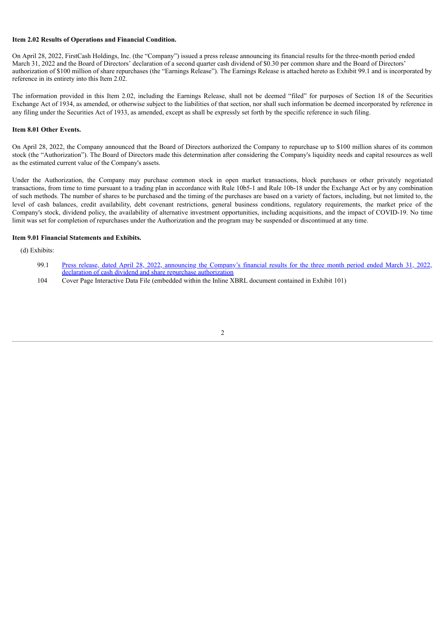#### **Item 2.02 Results of Operations and Financial Condition.**

On April 28, 2022, FirstCash Holdings, Inc. (the "Company") issued a press release announcing its financial results for the three-month period ended March 31, 2022 and the Board of Directors' declaration of a second quarter cash dividend of \$0.30 per common share and the Board of Directors' authorization of \$100 million of share repurchases (the "Earnings Release"). The Earnings Release is attached hereto as Exhibit 99.1 and is incorporated by reference in its entirety into this Item 2.02.

The information provided in this Item 2.02, including the Earnings Release, shall not be deemed "filed" for purposes of Section 18 of the Securities Exchange Act of 1934, as amended, or otherwise subject to the liabilities of that section, nor shall such information be deemed incorporated by reference in any filing under the Securities Act of 1933, as amended, except as shall be expressly set forth by the specific reference in such filing.

#### **Item 8.01 Other Events.**

On April 28, 2022, the Company announced that the Board of Directors authorized the Company to repurchase up to \$100 million shares of its common stock (the "Authorization"). The Board of Directors made this determination after considering the Company's liquidity needs and capital resources as well as the estimated current value of the Company's assets.

Under the Authorization, the Company may purchase common stock in open market transactions, block purchases or other privately negotiated transactions, from time to time pursuant to a trading plan in accordance with Rule 10b5-1 and Rule 10b-18 under the Exchange Act or by any combination of such methods. The number of shares to be purchased and the timing of the purchases are based on a variety of factors, including, but not limited to, the level of cash balances, credit availability, debt covenant restrictions, general business conditions, regulatory requirements, the market price of the Company's stock, dividend policy, the availability of alternative investment opportunities, including acquisitions, and the impact of COVID-19. No time limit was set for completion of repurchases under the Authorization and the program may be suspended or discontinued at any time.

#### **Item 9.01 Financial Statements and Exhibits.**

(d) Exhibits:

- 99.1 Press release, dated April 28, 2022, announcing the Company's financial results for the three month period ended March 31, 2022, declaration of cash dividend and share repurchase [authorization](#page-3-0)
- 104 Cover Page Interactive Data File (embedded within the Inline XBRL document contained in Exhibit 101)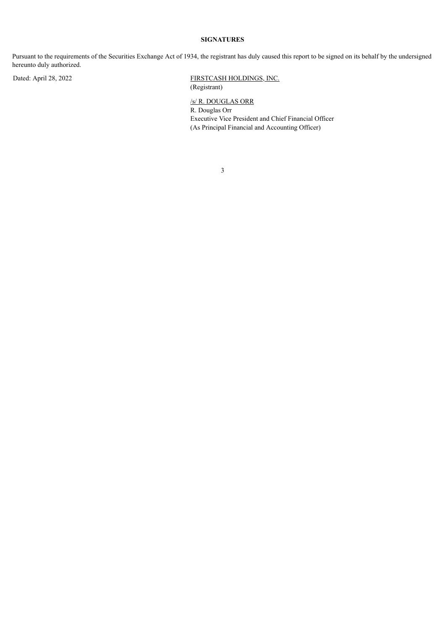### **SIGNATURES**

Pursuant to the requirements of the Securities Exchange Act of 1934, the registrant has duly caused this report to be signed on its behalf by the undersigned hereunto duly authorized.

Dated: April 28, 2022 FIRSTCASH HOLDINGS, INC. (Registrant)

> /s/ R. DOUGLAS ORR R. Douglas Orr Executive Vice President and Chief Financial Officer (As Principal Financial and Accounting Officer)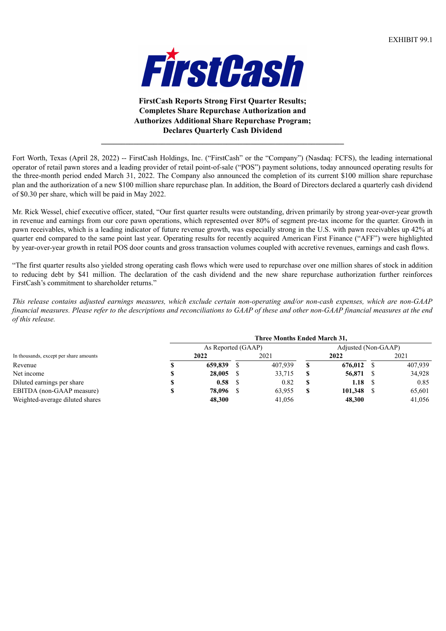<span id="page-3-0"></span>

# **FirstCash Reports Strong First Quarter Results; Completes Share Repurchase Authorization and Authorizes Additional Share Repurchase Program; Declares Quarterly Cash Dividend**

**\_\_\_\_\_\_\_\_\_\_\_\_\_\_\_\_\_\_\_\_\_\_\_\_\_\_\_\_\_\_\_\_\_\_\_\_\_\_\_\_\_\_\_\_\_\_\_\_\_\_\_\_\_\_\_\_\_\_\_\_**

Fort Worth, Texas (April 28, 2022) -- FirstCash Holdings, Inc. ("FirstCash" or the "Company") (Nasdaq: FCFS), the leading international operator of retail pawn stores and a leading provider of retail point-of-sale ("POS") payment solutions, today announced operating results for the three-month period ended March 31, 2022. The Company also announced the completion of its current \$100 million share repurchase plan and the authorization of a new \$100 million share repurchase plan. In addition, the Board of Directors declared a quarterly cash dividend of \$0.30 per share, which will be paid in May 2022.

Mr. Rick Wessel, chief executive officer, stated, "Our first quarter results were outstanding, driven primarily by strong year-over-year growth in revenue and earnings from our core pawn operations, which represented over 80% of segment pre-tax income for the quarter. Growth in pawn receivables, which is a leading indicator of future revenue growth, was especially strong in the U.S. with pawn receivables up 42% at quarter end compared to the same point last year. Operating results for recently acquired American First Finance ("AFF") were highlighted by year-over-year growth in retail POS door counts and gross transaction volumes coupled with accretive revenues, earnings and cash flows.

"The first quarter results also yielded strong operating cash flows which were used to repurchase over one million shares of stock in addition to reducing debt by \$41 million. The declaration of the cash dividend and the new share repurchase authorization further reinforces FirstCash's commitment to shareholder returns."

This release contains adjusted earnings measures, which exclude certain non-operating and/or non-cash expenses, which are non-GAAP financial measures. Please refer to the descriptions and reconciliations to GAAP of these and other non-GAAP financial measures at the end *of this release.*

|                                        | <b>Three Months Ended March 31.</b> |                    |  |         |  |                     |  |         |  |  |
|----------------------------------------|-------------------------------------|--------------------|--|---------|--|---------------------|--|---------|--|--|
|                                        |                                     | As Reported (GAAP) |  |         |  | Adjusted (Non-GAAP) |  |         |  |  |
| In thousands, except per share amounts |                                     | 2022               |  | 2021    |  | 2022                |  | 2021    |  |  |
| Revenue                                | ۱D                                  | 659,839            |  | 407.939 |  | 676,012             |  | 407,939 |  |  |
| Net income                             | Œ                                   | 28,005             |  | 33,715  |  | 56,871              |  | 34,928  |  |  |
| Diluted earnings per share             | ۱D                                  | 0.58               |  | 0.82    |  | 1.18                |  | 0.85    |  |  |
| EBITDA (non-GAAP measure)              |                                     | 78.096             |  | 63.955  |  | 101.348             |  | 65.601  |  |  |
| Weighted-average diluted shares        |                                     | 48,300             |  | 41.056  |  | 48,300              |  | 41,056  |  |  |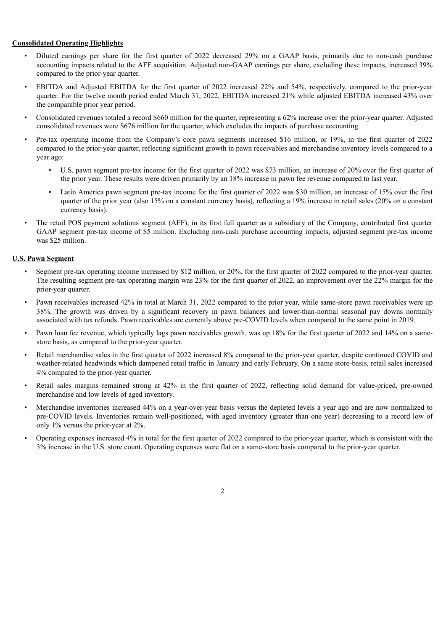## **Consolidated Operating Highlights**

- Diluted earnings per share for the first quarter of 2022 decreased 29% on a GAAP basis, primarily due to non-cash purchase accounting impacts related to the AFF acquisition. Adjusted non-GAAP earnings per share, excluding these impacts, increased 39% compared to the prior-year quarter.
- EBITDA and Adjusted EBITDA for the first quarter of 2022 increased 22% and 54%, respectively, compared to the prior-year quarter. For the twelve month period ended March 31, 2022, EBITDA increased 21% while adjusted EBITDA increased 43% over the comparable prior year period.
- Consolidated revenues totaled a record \$660 million for the quarter, representing a 62% increase over the prior-year quarter. Adjusted consolidated revenues were \$676 million for the quarter, which excludes the impacts of purchase accounting.
- Pre-tax operating income from the Company's core pawn segments increased \$16 million, or 19%, in the first quarter of 2022 compared to the prior-year quarter, reflecting significant growth in pawn receivables and merchandise inventory levels compared to a year ago:
	- U.S. pawn segment pre-tax income for the first quarter of 2022 was \$73 million, an increase of 20% over the first quarter of the prior year. These results were driven primarily by an 18% increase in pawn fee revenue compared to last year.
	- Latin America pawn segment pre-tax income for the first quarter of 2022 was \$30 million, an increase of 15% over the first quarter of the prior year (also 15% on a constant currency basis), reflecting a 19% increase in retail sales (20% on a constant currency basis).
- The retail POS payment solutions segment (AFF), in its first full quarter as a subsidiary of the Company, contributed first quarter GAAP segment pre-tax income of \$5 million. Excluding non-cash purchase accounting impacts, adjusted segment pre-tax income was \$25 million.

# **U.S. Pawn Segment**

- Segment pre-tax operating income increased by \$12 million, or 20%, for the first quarter of 2022 compared to the prior-year quarter. The resulting segment pre-tax operating margin was 23% for the first quarter of 2022, an improvement over the 22% margin for the prior-year quarter.
- Pawn receivables increased 42% in total at March 31, 2022 compared to the prior year, while same-store pawn receivables were up 38%. The growth was driven by a significant recovery in pawn balances and lower-than-normal seasonal pay downs normally associated with tax refunds. Pawn receivables are currently above pre-COVID levels when compared to the same point in 2019.
- Pawn loan fee revenue, which typically lags pawn receivables growth, was up 18% for the first quarter of 2022 and 14% on a samestore basis, as compared to the prior-year quarter.
- Retail merchandise sales in the first quarter of 2022 increased 8% compared to the prior-year quarter, despite continued COVID and weather-related headwinds which dampened retail traffic in January and early February. On a same store-basis, retail sales increased 4% compared to the prior-year quarter.
- Retail sales margins remained strong at 42% in the first quarter of 2022, reflecting solid demand for value-priced, pre-owned merchandise and low levels of aged inventory.
- Merchandise inventories increased 44% on a year-over-year basis versus the depleted levels a year ago and are now normalized to pre-COVID levels. Inventories remain well-positioned, with aged inventory (greater than one year) decreasing to a record low of only 1% versus the prior-year at 2%.
- Operating expenses increased 4% in total for the first quarter of 2022 compared to the prior-year quarter, which is consistent with the 3% increase in the U.S. store count. Operating expenses were flat on a same-store basis compared to the prior-year quarter.
	- 2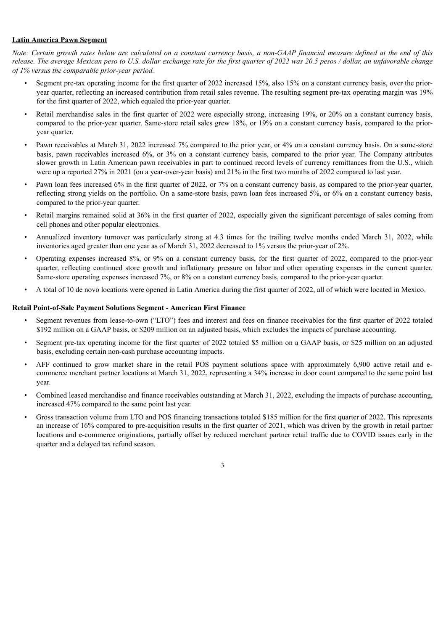#### **Latin America Pawn Segment**

Note: Certain growth rates below are calculated on a constant currency basis, a non-GAAP financial measure defined at the end of this release. The average Mexican peso to U.S. dollar exchange rate for the first quarter of 2022 was 20.5 pesos / dollar, an unfavorable change *of 1% versus the comparable prior-year period.*

- Segment pre-tax operating income for the first quarter of 2022 increased 15%, also 15% on a constant currency basis, over the prioryear quarter, reflecting an increased contribution from retail sales revenue. The resulting segment pre-tax operating margin was 19% for the first quarter of 2022, which equaled the prior-year quarter.
- Retail merchandise sales in the first quarter of 2022 were especially strong, increasing 19%, or 20% on a constant currency basis, compared to the prior-year quarter. Same-store retail sales grew 18%, or 19% on a constant currency basis, compared to the prioryear quarter.
- Pawn receivables at March 31, 2022 increased 7% compared to the prior year, or 4% on a constant currency basis. On a same-store basis, pawn receivables increased 6%, or 3% on a constant currency basis, compared to the prior year. The Company attributes slower growth in Latin American pawn receivables in part to continued record levels of currency remittances from the U.S., which were up a reported 27% in 2021 (on a year-over-year basis) and 21% in the first two months of 2022 compared to last year.
- Pawn loan fees increased 6% in the first quarter of 2022, or 7% on a constant currency basis, as compared to the prior-year quarter, reflecting strong yields on the portfolio. On a same-store basis, pawn loan fees increased 5%, or 6% on a constant currency basis, compared to the prior-year quarter.
- Retail margins remained solid at 36% in the first quarter of 2022, especially given the significant percentage of sales coming from cell phones and other popular electronics.
- Annualized inventory turnover was particularly strong at 4.3 times for the trailing twelve months ended March 31, 2022, while inventories aged greater than one year as of March 31, 2022 decreased to 1% versus the prior-year of 2%.
- Operating expenses increased 8%, or 9% on a constant currency basis, for the first quarter of 2022, compared to the prior-year quarter, reflecting continued store growth and inflationary pressure on labor and other operating expenses in the current quarter. Same-store operating expenses increased 7%, or 8% on a constant currency basis, compared to the prior-year quarter.
- A total of 10 de novo locations were opened in Latin America during the first quarter of 2022, all of which were located in Mexico.

### **Retail Point-of-Sale Payment Solutions Segment - American First Finance**

- Segment revenues from lease-to-own ("LTO") fees and interest and fees on finance receivables for the first quarter of 2022 totaled \$192 million on a GAAP basis, or \$209 million on an adjusted basis, which excludes the impacts of purchase accounting.
- Segment pre-tax operating income for the first quarter of 2022 totaled \$5 million on a GAAP basis, or \$25 million on an adjusted basis, excluding certain non-cash purchase accounting impacts.
- AFF continued to grow market share in the retail POS payment solutions space with approximately 6,900 active retail and ecommerce merchant partner locations at March 31, 2022, representing a 34% increase in door count compared to the same point last year.
- Combined leased merchandise and finance receivables outstanding at March 31, 2022, excluding the impacts of purchase accounting, increased 47% compared to the same point last year.
- Gross transaction volume from LTO and POS financing transactions totaled \$185 million for the first quarter of 2022. This represents an increase of 16% compared to pre-acquisition results in the first quarter of 2021, which was driven by the growth in retail partner locations and e-commerce originations, partially offset by reduced merchant partner retail traffic due to COVID issues early in the quarter and a delayed tax refund season.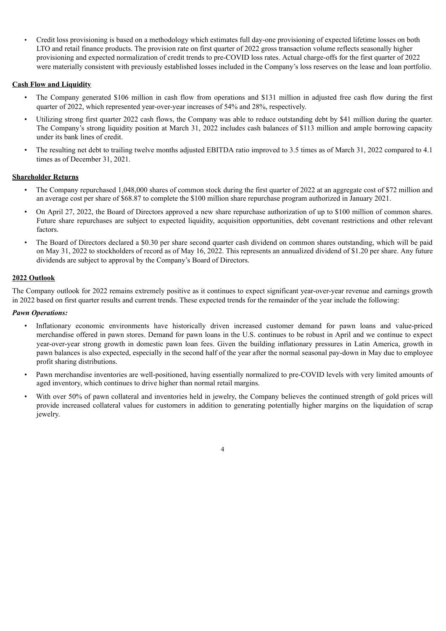• Credit loss provisioning is based on a methodology which estimates full day-one provisioning of expected lifetime losses on both LTO and retail finance products. The provision rate on first quarter of 2022 gross transaction volume reflects seasonally higher provisioning and expected normalization of credit trends to pre-COVID loss rates. Actual charge-offs for the first quarter of 2022 were materially consistent with previously established losses included in the Company's loss reserves on the lease and loan portfolio.

# **Cash Flow and Liquidity**

- The Company generated \$106 million in cash flow from operations and \$131 million in adjusted free cash flow during the first quarter of 2022, which represented year-over-year increases of 54% and 28%, respectively.
- Utilizing strong first quarter 2022 cash flows, the Company was able to reduce outstanding debt by \$41 million during the quarter. The Company's strong liquidity position at March 31, 2022 includes cash balances of \$113 million and ample borrowing capacity under its bank lines of credit.
- The resulting net debt to trailing twelve months adjusted EBITDA ratio improved to 3.5 times as of March 31, 2022 compared to 4.1 times as of December 31, 2021.

# **Shareholder Returns**

- The Company repurchased 1,048,000 shares of common stock during the first quarter of 2022 at an aggregate cost of \$72 million and an average cost per share of \$68.87 to complete the \$100 million share repurchase program authorized in January 2021.
- On April 27, 2022, the Board of Directors approved a new share repurchase authorization of up to \$100 million of common shares. Future share repurchases are subject to expected liquidity, acquisition opportunities, debt covenant restrictions and other relevant factors.
- The Board of Directors declared a \$0.30 per share second quarter cash dividend on common shares outstanding, which will be paid on May 31, 2022 to stockholders of record as of May 16, 2022. This represents an annualized dividend of \$1.20 per share. Any future dividends are subject to approval by the Company's Board of Directors.

### **2022 Outlook**

The Company outlook for 2022 remains extremely positive as it continues to expect significant year-over-year revenue and earnings growth in 2022 based on first quarter results and current trends. These expected trends for the remainder of the year include the following:

### *Pawn Operations:*

- Inflationary economic environments have historically driven increased customer demand for pawn loans and value-priced merchandise offered in pawn stores. Demand for pawn loans in the U.S. continues to be robust in April and we continue to expect year-over-year strong growth in domestic pawn loan fees. Given the building inflationary pressures in Latin America, growth in pawn balances is also expected, especially in the second half of the year after the normal seasonal pay-down in May due to employee profit sharing distributions.
- Pawn merchandise inventories are well-positioned, having essentially normalized to pre-COVID levels with very limited amounts of aged inventory, which continues to drive higher than normal retail margins.
- With over 50% of pawn collateral and inventories held in jewelry, the Company believes the continued strength of gold prices will provide increased collateral values for customers in addition to generating potentially higher margins on the liquidation of scrap jewelry.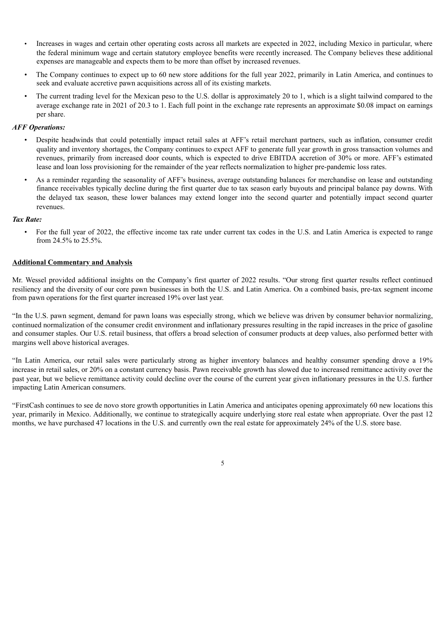- Increases in wages and certain other operating costs across all markets are expected in 2022, including Mexico in particular, where the federal minimum wage and certain statutory employee benefits were recently increased. The Company believes these additional expenses are manageable and expects them to be more than offset by increased revenues.
- The Company continues to expect up to 60 new store additions for the full year 2022, primarily in Latin America, and continues to seek and evaluate accretive pawn acquisitions across all of its existing markets.
- The current trading level for the Mexican peso to the U.S. dollar is approximately 20 to 1, which is a slight tailwind compared to the average exchange rate in 2021 of 20.3 to 1. Each full point in the exchange rate represents an approximate \$0.08 impact on earnings per share.

#### *AFF Operations:*

- Despite headwinds that could potentially impact retail sales at AFF's retail merchant partners, such as inflation, consumer credit quality and inventory shortages, the Company continues to expect AFF to generate full year growth in gross transaction volumes and revenues, primarily from increased door counts, which is expected to drive EBITDA accretion of 30% or more. AFF's estimated lease and loan loss provisioning for the remainder of the year reflects normalization to higher pre-pandemic loss rates.
- As a reminder regarding the seasonality of AFF's business, average outstanding balances for merchandise on lease and outstanding finance receivables typically decline during the first quarter due to tax season early buyouts and principal balance pay downs. With the delayed tax season, these lower balances may extend longer into the second quarter and potentially impact second quarter revenues.

#### *Tax Rate:*

• For the full year of 2022, the effective income tax rate under current tax codes in the U.S. and Latin America is expected to range from 24.5% to 25.5%.

#### **Additional Commentary and Analysis**

Mr. Wessel provided additional insights on the Company's first quarter of 2022 results. "Our strong first quarter results reflect continued resiliency and the diversity of our core pawn businesses in both the U.S. and Latin America. On a combined basis, pre-tax segment income from pawn operations for the first quarter increased 19% over last year.

"In the U.S. pawn segment, demand for pawn loans was especially strong, which we believe was driven by consumer behavior normalizing, continued normalization of the consumer credit environment and inflationary pressures resulting in the rapid increases in the price of gasoline and consumer staples. Our U.S. retail business, that offers a broad selection of consumer products at deep values, also performed better with margins well above historical averages.

"In Latin America, our retail sales were particularly strong as higher inventory balances and healthy consumer spending drove a 19% increase in retail sales, or 20% on a constant currency basis. Pawn receivable growth has slowed due to increased remittance activity over the past year, but we believe remittance activity could decline over the course of the current year given inflationary pressures in the U.S. further impacting Latin American consumers.

"FirstCash continues to see de novo store growth opportunities in Latin America and anticipates opening approximately 60 new locations this year, primarily in Mexico. Additionally, we continue to strategically acquire underlying store real estate when appropriate. Over the past 12 months, we have purchased 47 locations in the U.S. and currently own the real estate for approximately 24% of the U.S. store base.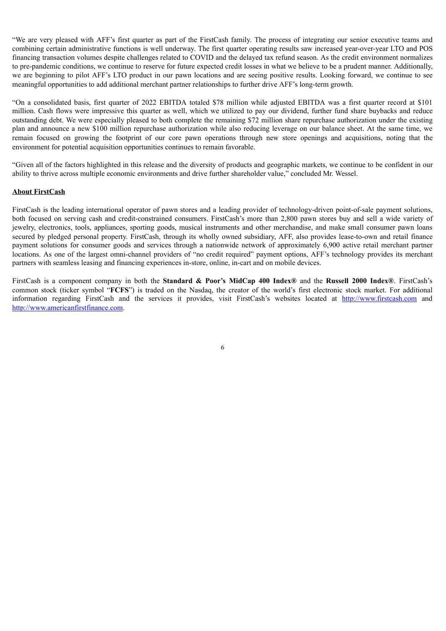"We are very pleased with AFF's first quarter as part of the FirstCash family. The process of integrating our senior executive teams and combining certain administrative functions is well underway. The first quarter operating results saw increased year-over-year LTO and POS financing transaction volumes despite challenges related to COVID and the delayed tax refund season. As the credit environment normalizes to pre-pandemic conditions, we continue to reserve for future expected credit losses in what we believe to be a prudent manner. Additionally, we are beginning to pilot AFF's LTO product in our pawn locations and are seeing positive results. Looking forward, we continue to see meaningful opportunities to add additional merchant partner relationships to further drive AFF's long-term growth.

"On a consolidated basis, first quarter of 2022 EBITDA totaled \$78 million while adjusted EBITDA was a first quarter record at \$101 million. Cash flows were impressive this quarter as well, which we utilized to pay our dividend, further fund share buybacks and reduce outstanding debt. We were especially pleased to both complete the remaining \$72 million share repurchase authorization under the existing plan and announce a new \$100 million repurchase authorization while also reducing leverage on our balance sheet. At the same time, we remain focused on growing the footprint of our core pawn operations through new store openings and acquisitions, noting that the environment for potential acquisition opportunities continues to remain favorable.

"Given all of the factors highlighted in this release and the diversity of products and geographic markets, we continue to be confident in our ability to thrive across multiple economic environments and drive further shareholder value," concluded Mr. Wessel.

#### **About FirstCash**

FirstCash is the leading international operator of pawn stores and a leading provider of technology-driven point-of-sale payment solutions, both focused on serving cash and credit-constrained consumers. FirstCash's more than 2,800 pawn stores buy and sell a wide variety of jewelry, electronics, tools, appliances, sporting goods, musical instruments and other merchandise, and make small consumer pawn loans secured by pledged personal property. FirstCash, through its wholly owned subsidiary, AFF, also provides lease-to-own and retail finance payment solutions for consumer goods and services through a nationwide network of approximately 6,900 active retail merchant partner locations. As one of the largest omni-channel providers of "no credit required" payment options, AFF's technology provides its merchant partners with seamless leasing and financing experiences in-store, online, in-cart and on mobile devices.

FirstCash is a component company in both the **Standard & Poor's MidCap 400 Index®** and the **Russell 2000 Index®**. FirstCash's common stock (ticker symbol "**FCFS**") is traded on the Nasdaq, the creator of the world's first electronic stock market. For additional information regarding FirstCash and the services it provides, visit FirstCash's websites located at http://www.firstcash.com and http://www.americanfirstfinance.com.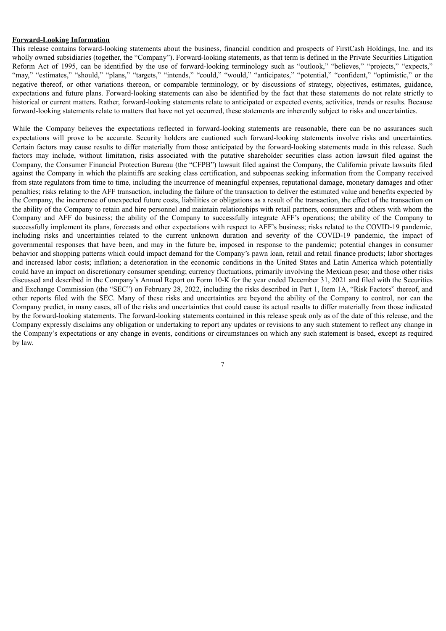#### **Forward-Looking Information**

This release contains forward-looking statements about the business, financial condition and prospects of FirstCash Holdings, Inc. and its wholly owned subsidiaries (together, the "Company"). Forward-looking statements, as that term is defined in the Private Securities Litigation Reform Act of 1995, can be identified by the use of forward-looking terminology such as "outlook," "believes," "projects," "expects," "may," "estimates," "should," "plans," "targets," "intends," "could," "would," "anticipates," "potential," "confident," "optimistic," or the negative thereof, or other variations thereon, or comparable terminology, or by discussions of strategy, objectives, estimates, guidance, expectations and future plans. Forward-looking statements can also be identified by the fact that these statements do not relate strictly to historical or current matters. Rather, forward-looking statements relate to anticipated or expected events, activities, trends or results. Because forward-looking statements relate to matters that have not yet occurred, these statements are inherently subject to risks and uncertainties.

While the Company believes the expectations reflected in forward-looking statements are reasonable, there can be no assurances such expectations will prove to be accurate. Security holders are cautioned such forward-looking statements involve risks and uncertainties. Certain factors may cause results to differ materially from those anticipated by the forward-looking statements made in this release. Such factors may include, without limitation, risks associated with the putative shareholder securities class action lawsuit filed against the Company, the Consumer Financial Protection Bureau (the "CFPB") lawsuit filed against the Company, the California private lawsuits filed against the Company in which the plaintiffs are seeking class certification, and subpoenas seeking information from the Company received from state regulators from time to time, including the incurrence of meaningful expenses, reputational damage, monetary damages and other penalties; risks relating to the AFF transaction, including the failure of the transaction to deliver the estimated value and benefits expected by the Company, the incurrence of unexpected future costs, liabilities or obligations as a result of the transaction, the effect of the transaction on the ability of the Company to retain and hire personnel and maintain relationships with retail partners, consumers and others with whom the Company and AFF do business; the ability of the Company to successfully integrate AFF's operations; the ability of the Company to successfully implement its plans, forecasts and other expectations with respect to AFF's business; risks related to the COVID-19 pandemic, including risks and uncertainties related to the current unknown duration and severity of the COVID-19 pandemic, the impact of governmental responses that have been, and may in the future be, imposed in response to the pandemic; potential changes in consumer behavior and shopping patterns which could impact demand for the Company's pawn loan, retail and retail finance products; labor shortages and increased labor costs; inflation; a deterioration in the economic conditions in the United States and Latin America which potentially could have an impact on discretionary consumer spending; currency fluctuations, primarily involving the Mexican peso; and those other risks discussed and described in the Company's Annual Report on Form 10-K for the year ended December 31, 2021 and filed with the Securities and Exchange Commission (the "SEC") on February 28, 2022, including the risks described in Part 1, Item 1A, "Risk Factors" thereof, and other reports filed with the SEC. Many of these risks and uncertainties are beyond the ability of the Company to control, nor can the Company predict, in many cases, all of the risks and uncertainties that could cause its actual results to differ materially from those indicated by the forward-looking statements. The forward-looking statements contained in this release speak only as of the date of this release, and the Company expressly disclaims any obligation or undertaking to report any updates or revisions to any such statement to reflect any change in the Company's expectations or any change in events, conditions or circumstances on which any such statement is based, except as required by law.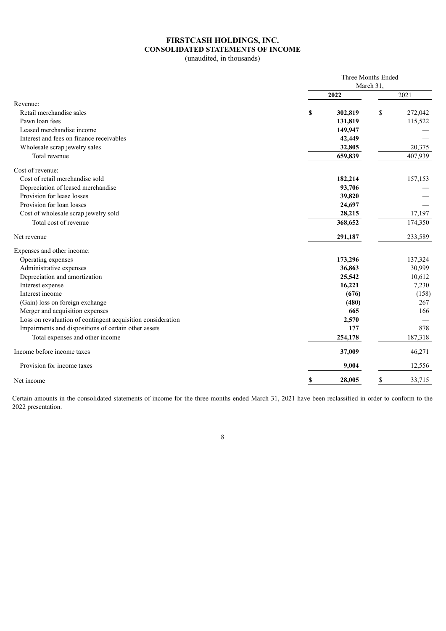# **FIRSTCASH HOLDINGS, INC. CONSOLIDATED STATEMENTS OF INCOME**

(unaudited, in thousands)

|                                                             |              | Three Months Ended |  |  |  |  |
|-------------------------------------------------------------|--------------|--------------------|--|--|--|--|
|                                                             |              | March 31.          |  |  |  |  |
|                                                             | 2022         | 2021               |  |  |  |  |
| Revenue:                                                    |              |                    |  |  |  |  |
| Retail merchandise sales                                    | S<br>302,819 | \$<br>272,042      |  |  |  |  |
| Pawn loan fees                                              | 131,819      | 115,522            |  |  |  |  |
| Leased merchandise income                                   | 149,947      |                    |  |  |  |  |
| Interest and fees on finance receivables                    | 42,449       |                    |  |  |  |  |
| Wholesale scrap jewelry sales                               | 32,805       | 20,375             |  |  |  |  |
| Total revenue                                               | 659,839      | 407,939            |  |  |  |  |
| Cost of revenue:                                            |              |                    |  |  |  |  |
| Cost of retail merchandise sold                             | 182,214      | 157,153            |  |  |  |  |
| Depreciation of leased merchandise                          | 93,706       |                    |  |  |  |  |
| Provision for lease losses                                  | 39,820       |                    |  |  |  |  |
| Provision for loan losses                                   | 24,697       |                    |  |  |  |  |
| Cost of wholesale scrap jewelry sold                        | 28,215       | 17,197             |  |  |  |  |
| Total cost of revenue                                       | 368,652      | 174,350            |  |  |  |  |
| Net revenue                                                 | 291,187      | 233,589            |  |  |  |  |
| Expenses and other income:                                  |              |                    |  |  |  |  |
| Operating expenses                                          | 173,296      | 137,324            |  |  |  |  |
| Administrative expenses                                     | 36,863       | 30,999             |  |  |  |  |
| Depreciation and amortization                               | 25,542       | 10,612             |  |  |  |  |
| Interest expense                                            | 16,221       | 7,230              |  |  |  |  |
| Interest income                                             | (676)        | (158)              |  |  |  |  |
| (Gain) loss on foreign exchange                             | (480)        | 267                |  |  |  |  |
| Merger and acquisition expenses                             | 665          | 166                |  |  |  |  |
| Loss on revaluation of contingent acquisition consideration | 2,570        |                    |  |  |  |  |
| Impairments and dispositions of certain other assets        | 177          | 878                |  |  |  |  |
| Total expenses and other income                             | 254,178      | 187,318            |  |  |  |  |
| Income before income taxes                                  | 37,009       | 46,271             |  |  |  |  |
| Provision for income taxes                                  | 9,004        | 12,556             |  |  |  |  |
| Net income                                                  | 28,005<br>\$ | \$<br>33,715       |  |  |  |  |

Certain amounts in the consolidated statements of income for the three months ended March 31, 2021 have been reclassified in order to conform to the 2022 presentation.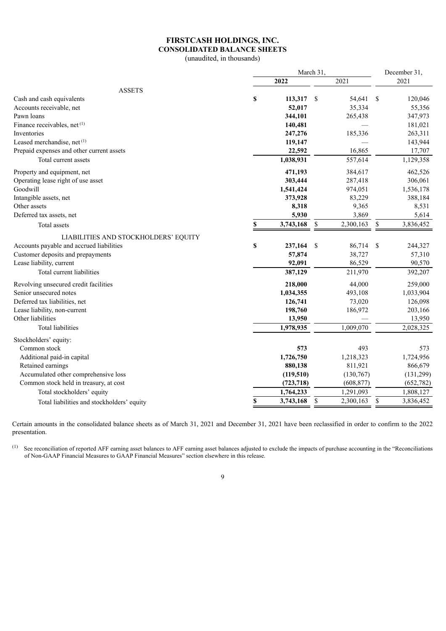# **FIRSTCASH HOLDINGS, INC. CONSOLIDATED BALANCE SHEETS**

(unaudited, in thousands)

|                                            | March 31, |            |               | December 31, |    |            |
|--------------------------------------------|-----------|------------|---------------|--------------|----|------------|
|                                            |           | 2022       |               | 2021         |    | 2021       |
| <b>ASSETS</b>                              |           |            |               |              |    |            |
| Cash and cash equivalents                  | \$        | 113,317    | <sup>\$</sup> | 54,641       | \$ | 120,046    |
| Accounts receivable, net                   |           | 52,017     |               | 35,334       |    | 55,356     |
| Pawn loans                                 |           | 344,101    |               | 265,438      |    | 347,973    |
| Finance receivables, net <sup>(1)</sup>    |           | 140,481    |               |              |    | 181,021    |
| Inventories                                |           | 247,276    |               | 185,336      |    | 263,311    |
| Leased merchandise, net <sup>(1)</sup>     |           | 119,147    |               |              |    | 143,944    |
| Prepaid expenses and other current assets  |           | 22,592     |               | 16,865       |    | 17,707     |
| Total current assets                       |           | 1,038,931  |               | 557,614      |    | 1,129,358  |
| Property and equipment, net                |           | 471,193    |               | 384,617      |    | 462,526    |
| Operating lease right of use asset         |           | 303,444    |               | 287,418      |    | 306,061    |
| Goodwill                                   |           | 1,541,424  |               | 974,051      |    | 1,536,178  |
| Intangible assets, net                     |           | 373,928    |               | 83,229       |    | 388,184    |
| Other assets                               |           | 8,318      |               | 9,365        |    | 8,531      |
| Deferred tax assets, net                   |           | 5,930      |               | 3,869        |    | 5,614      |
| Total assets                               | \$        | 3,743,168  | \$            | 2,300,163    | \$ | 3,836,452  |
| LIABILITIES AND STOCKHOLDERS' EQUITY       |           |            |               |              |    |            |
| Accounts payable and accrued liabilities   | \$        | 237,164    | <sup>\$</sup> | 86,714       | \$ | 244,327    |
| Customer deposits and prepayments          |           | 57,874     |               | 38,727       |    | 57,310     |
| Lease liability, current                   |           | 92,091     |               | 86,529       |    | 90,570     |
| Total current liabilities                  |           | 387,129    |               | 211,970      |    | 392,207    |
| Revolving unsecured credit facilities      |           | 218,000    |               | 44,000       |    | 259,000    |
| Senior unsecured notes                     |           | 1,034,355  |               | 493,108      |    | 1,033,904  |
| Deferred tax liabilities, net              |           | 126,741    |               | 73,020       |    | 126,098    |
| Lease liability, non-current               |           | 198,760    |               | 186,972      |    | 203,166    |
| Other liabilities                          |           | 13,950     |               |              |    | 13,950     |
| <b>Total liabilities</b>                   |           | 1,978,935  |               | 1,009,070    |    | 2,028,325  |
| Stockholders' equity:                      |           |            |               |              |    |            |
| Common stock                               |           | 573        |               | 493          |    | 573        |
| Additional paid-in capital                 |           | 1,726,750  |               | 1,218,323    |    | 1,724,956  |
| Retained earnings                          |           | 880,138    |               | 811,921      |    | 866,679    |
| Accumulated other comprehensive loss       |           | (119, 510) |               | (130,767)    |    | (131, 299) |
| Common stock held in treasury, at cost     |           | (723, 718) |               | (608, 877)   |    | (652, 782) |
| Total stockholders' equity                 |           | 1,764,233  |               | 1,291,093    |    | 1,808,127  |
| Total liabilities and stockholders' equity | \$        | 3,743,168  | \$            | 2,300,163    | \$ | 3,836,452  |

Certain amounts in the consolidated balance sheets as of March 31, 2021 and December 31, 2021 have been reclassified in order to confirm to the 2022 presentation.

See reconciliation of reported AFF earning asset balances to AFF earning asset balances adjusted to exclude the impacts of purchase accounting in the "Reconciliations of Non-GAAP Financial Measures to GAAP Financial Measures" section elsewhere in this release. (1)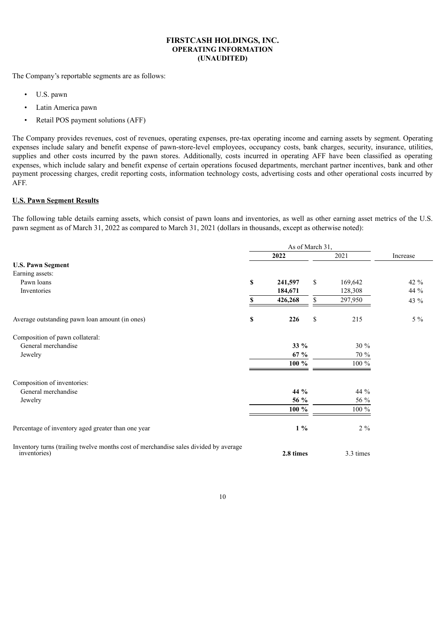The Company's reportable segments are as follows:

- U.S. pawn
- Latin America pawn
- Retail POS payment solutions (AFF)

The Company provides revenues, cost of revenues, operating expenses, pre-tax operating income and earning assets by segment. Operating expenses include salary and benefit expense of pawn-store-level employees, occupancy costs, bank charges, security, insurance, utilities, supplies and other costs incurred by the pawn stores. Additionally, costs incurred in operating AFF have been classified as operating expenses, which include salary and benefit expense of certain operations focused departments, merchant partner incentives, bank and other payment processing charges, credit reporting costs, information technology costs, advertising costs and other operational costs incurred by AFF.

## **U.S. Pawn Segment Results**

The following table details earning assets, which consist of pawn loans and inventories, as well as other earning asset metrics of the U.S. pawn segment as of March 31, 2022 as compared to March 31, 2021 (dollars in thousands, except as otherwise noted):

|                                                                                                      |    | As of March 31, |    |           |          |  |
|------------------------------------------------------------------------------------------------------|----|-----------------|----|-----------|----------|--|
|                                                                                                      |    | 2022            |    | 2021      | Increase |  |
| <b>U.S. Pawn Segment</b>                                                                             |    |                 |    |           |          |  |
| Earning assets:                                                                                      |    |                 |    |           |          |  |
| Pawn loans                                                                                           | \$ | 241,597         | \$ | 169,642   | 42 $%$   |  |
| Inventories                                                                                          |    | 184,671         |    | 128,308   | 44 %     |  |
|                                                                                                      |    | 426,268         | \$ | 297,950   | 43 %     |  |
| Average outstanding pawn loan amount (in ones)                                                       | \$ | 226             | \$ | 215       | $5\%$    |  |
| Composition of pawn collateral:                                                                      |    |                 |    |           |          |  |
| General merchandise                                                                                  |    | 33 %            |    | 30 %      |          |  |
| Jewelry                                                                                              |    | $67 \%$         |    | 70 %      |          |  |
|                                                                                                      |    | 100 %           |    | $100~\%$  |          |  |
| Composition of inventories:                                                                          |    |                 |    |           |          |  |
| General merchandise                                                                                  |    | 44 %            |    | 44 %      |          |  |
| Jewelry                                                                                              |    | 56 %            |    | 56 %      |          |  |
|                                                                                                      |    | 100 %           |    | 100 %     |          |  |
| Percentage of inventory aged greater than one year                                                   |    | $1\%$           |    | $2\%$     |          |  |
| Inventory turns (trailing twelve months cost of merchandise sales divided by average<br>inventories) |    | 2.8 times       |    | 3.3 times |          |  |

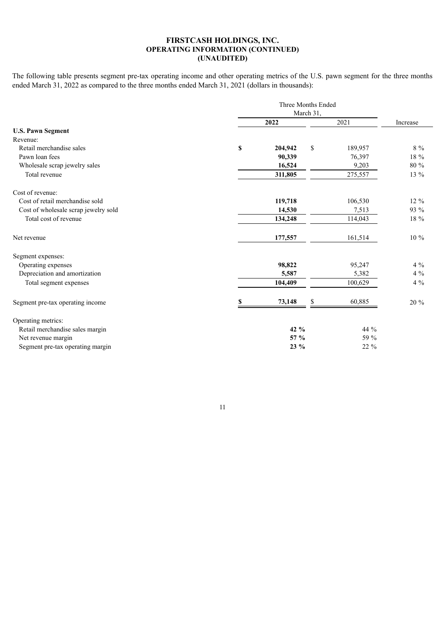The following table presents segment pre-tax operating income and other operating metrics of the U.S. pawn segment for the three months ended March 31, 2022 as compared to the three months ended March 31, 2021 (dollars in thousands):

| Three Months Ended                   |                        |           |         |          |  |  |  |
|--------------------------------------|------------------------|-----------|---------|----------|--|--|--|
|                                      |                        | March 31, |         |          |  |  |  |
|                                      | 2022                   |           | 2021    | Increase |  |  |  |
| <b>U.S. Pawn Segment</b>             |                        |           |         |          |  |  |  |
| Revenue:                             |                        |           |         |          |  |  |  |
| Retail merchandise sales             | $\mathbb S$<br>204,942 | \$        | 189,957 | $8\ \%$  |  |  |  |
| Pawn loan fees                       | 90,339                 |           | 76,397  | 18 %     |  |  |  |
| Wholesale scrap jewelry sales        | 16,524                 |           | 9,203   | 80 %     |  |  |  |
| Total revenue                        | 311,805                |           | 275,557 | 13 %     |  |  |  |
| Cost of revenue:                     |                        |           |         |          |  |  |  |
| Cost of retail merchandise sold      | 119,718                |           | 106,530 | $12\%$   |  |  |  |
| Cost of wholesale scrap jewelry sold | 14,530                 |           | 7,513   | 93 %     |  |  |  |
| Total cost of revenue                | 134,248                |           | 114,043 | 18 %     |  |  |  |
| Net revenue                          | 177,557                |           | 161,514 | 10 %     |  |  |  |
| Segment expenses:                    |                        |           |         |          |  |  |  |
| Operating expenses                   | 98,822                 |           | 95,247  | $4\%$    |  |  |  |
| Depreciation and amortization        | 5,587                  |           | 5,382   | $4\%$    |  |  |  |
| Total segment expenses               | 104,409                |           | 100,629 | $4\%$    |  |  |  |
| Segment pre-tax operating income     | 73,148<br>S            | \$        | 60,885  | 20 %     |  |  |  |
| Operating metrics:                   |                        |           |         |          |  |  |  |
| Retail merchandise sales margin      | 42 %                   |           | 44 %    |          |  |  |  |
| Net revenue margin                   | 57 %                   |           | 59 %    |          |  |  |  |
| Segment pre-tax operating margin     | $23\%$                 |           | 22 %    |          |  |  |  |

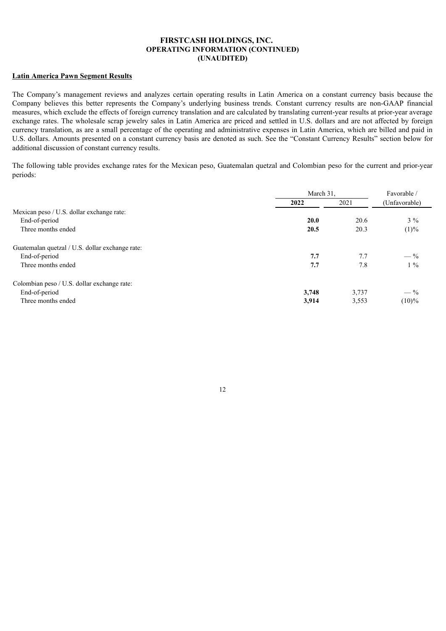#### **Latin America Pawn Segment Results**

The Company's management reviews and analyzes certain operating results in Latin America on a constant currency basis because the Company believes this better represents the Company's underlying business trends. Constant currency results are non-GAAP financial measures, which exclude the effects of foreign currency translation and are calculated by translating current-year results at prior-year average exchange rates. The wholesale scrap jewelry sales in Latin America are priced and settled in U.S. dollars and are not affected by foreign currency translation, as are a small percentage of the operating and administrative expenses in Latin America, which are billed and paid in U.S. dollars. Amounts presented on a constant currency basis are denoted as such. See the "Constant Currency Results" section below for additional discussion of constant currency results.

The following table provides exchange rates for the Mexican peso, Guatemalan quetzal and Colombian peso for the current and prior-year periods:

|                                                 | March 31.   |       |                |
|-------------------------------------------------|-------------|-------|----------------|
|                                                 | 2022        | 2021  | (Unfavorable)  |
| Mexican peso / U.S. dollar exchange rate:       |             |       |                |
| End-of-period                                   | <b>20.0</b> | 20.6  | $3\%$          |
| Three months ended                              | 20.5        | 20.3  | (1)%           |
| Guatemalan quetzal / U.S. dollar exchange rate: |             |       |                |
| End-of-period                                   | 7.7         | 7.7   | $-\frac{9}{6}$ |
| Three months ended                              | 7.7         | 7.8   | $1\%$          |
| Colombian peso / U.S. dollar exchange rate:     |             |       |                |
| End-of-period                                   | 3,748       | 3,737 | $-\frac{9}{6}$ |
| Three months ended                              | 3,914       | 3,553 | $(10)\%$       |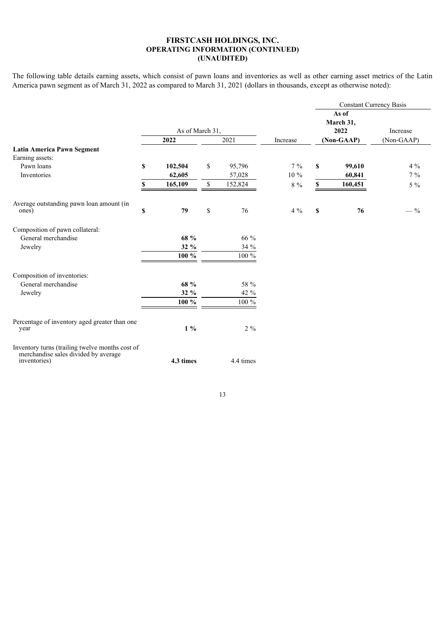The following table details earning assets, which consist of pawn loans and inventories as well as other earning asset metrics of the Latin America pawn segment as of March 31, 2022 as compared to March 31, 2021 (dollars in thousands, except as otherwise noted):

|                                                                                                         |    |                 |    |           | <b>Constant Currency Basis</b> |    |                            |                 |  |
|---------------------------------------------------------------------------------------------------------|----|-----------------|----|-----------|--------------------------------|----|----------------------------|-----------------|--|
|                                                                                                         |    | As of March 31, |    |           |                                |    | As of<br>March 31,<br>2022 | Increase        |  |
|                                                                                                         |    | 2022            |    | 2021      | Increase                       |    | (Non-GAAP)                 | (Non-GAAP)      |  |
| <b>Latin America Pawn Segment</b><br>Earning assets:                                                    |    |                 |    |           |                                |    |                            |                 |  |
| Pawn loans                                                                                              | \$ | 102,504         | \$ | 95,796    | $7\%$                          | \$ | 99,610                     | $4\%$           |  |
| Inventories                                                                                             |    | 62,605          |    | 57,028    | $10\%$                         |    | 60,841                     | $7 \frac{9}{6}$ |  |
|                                                                                                         | S  | 165,109         | \$ | 152,824   | $8\%$                          | \$ | 160,451                    | $5\%$           |  |
| Average outstanding pawn loan amount (in<br>ones)                                                       | \$ | 79              | \$ | 76        | $4\%$                          | \$ | 76                         | $-$ %           |  |
| Composition of pawn collateral:                                                                         |    |                 |    |           |                                |    |                            |                 |  |
| General merchandise                                                                                     |    | 68 %            |    | 66 %      |                                |    |                            |                 |  |
| Jewelry                                                                                                 |    | 32 %            |    | 34 %      |                                |    |                            |                 |  |
|                                                                                                         |    | $100 \%$        |    | 100 %     |                                |    |                            |                 |  |
| Composition of inventories:                                                                             |    |                 |    |           |                                |    |                            |                 |  |
| General merchandise                                                                                     |    | 68 %            |    | 58 %      |                                |    |                            |                 |  |
| Jewelry                                                                                                 |    | 32 %            |    | 42 %      |                                |    |                            |                 |  |
|                                                                                                         |    | 100 %           |    | 100 %     |                                |    |                            |                 |  |
| Percentage of inventory aged greater than one<br>year                                                   |    | $1\%$           |    | $2\%$     |                                |    |                            |                 |  |
| Inventory turns (trailing twelve months cost of<br>merchandise sales divided by average<br>inventories) |    | 4.3 times       |    | 4.4 times |                                |    |                            |                 |  |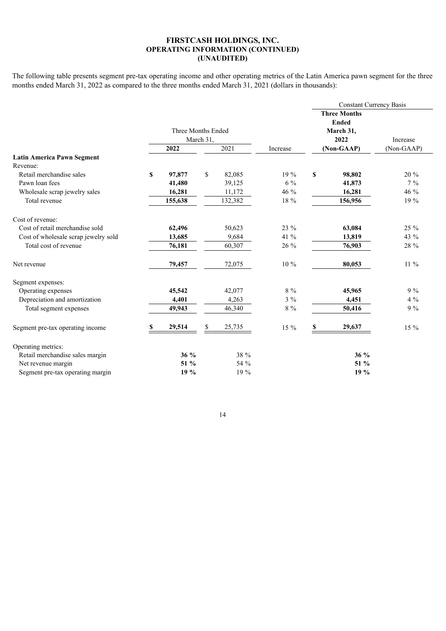The following table presents segment pre-tax operating income and other operating metrics of the Latin America pawn segment for the three months ended March 31, 2022 as compared to the three months ended March 31, 2021 (dollars in thousands):

|                                               |                                 |         |    |         |          | <b>Constant Currency Basis</b>                           |            |            |  |
|-----------------------------------------------|---------------------------------|---------|----|---------|----------|----------------------------------------------------------|------------|------------|--|
|                                               | Three Months Ended<br>March 31, |         |    |         |          | <b>Three Months</b><br><b>Ended</b><br>March 31,<br>2022 |            | Increase   |  |
|                                               |                                 | 2022    |    | 2021    | Increase |                                                          | (Non-GAAP) | (Non-GAAP) |  |
| <b>Latin America Pawn Segment</b><br>Revenue: |                                 |         |    |         |          |                                                          |            |            |  |
| Retail merchandise sales                      | \$                              | 97,877  | \$ | 82,085  | 19 %     | \$                                                       | 98,802     | 20 %       |  |
| Pawn loan fees                                |                                 | 41,480  |    | 39,125  | $6\%$    |                                                          | 41,873     | $7\%$      |  |
| Wholesale scrap jewelry sales                 |                                 | 16,281  |    | 11,172  | 46 %     |                                                          | 16,281     | 46 %       |  |
| Total revenue                                 |                                 | 155,638 |    | 132,382 | 18 %     |                                                          | 156,956    | 19 %       |  |
| Cost of revenue:                              |                                 |         |    |         |          |                                                          |            |            |  |
| Cost of retail merchandise sold               |                                 | 62,496  |    | 50,623  | 23 %     |                                                          | 63,084     | 25 %       |  |
| Cost of wholesale scrap jewelry sold          |                                 | 13,685  |    | 9,684   | 41 %     |                                                          | 13,819     | 43 %       |  |
| Total cost of revenue                         |                                 | 76,181  |    | 60,307  | 26 %     |                                                          | 76,903     | 28 %       |  |
| Net revenue                                   |                                 | 79,457  |    | 72,075  | $10\%$   |                                                          | 80,053     | $11\%$     |  |
| Segment expenses:                             |                                 |         |    |         |          |                                                          |            |            |  |
| Operating expenses                            |                                 | 45,542  |    | 42,077  | $8\%$    |                                                          | 45,965     | $9\%$      |  |
| Depreciation and amortization                 |                                 | 4,401   |    | 4,263   | $3\%$    |                                                          | 4,451      | 4 %        |  |
| Total segment expenses                        |                                 | 49,943  |    | 46,340  | $8\%$    |                                                          | 50,416     | $9\%$      |  |
| Segment pre-tax operating income              | S                               | 29,514  | \$ | 25,735  | 15 %     | S                                                        | 29,637     | 15 %       |  |
| Operating metrics:                            |                                 |         |    |         |          |                                                          |            |            |  |
| Retail merchandise sales margin               |                                 | $36\%$  |    | 38 %    |          |                                                          | $36\%$     |            |  |
| Net revenue margin                            |                                 | 51 %    |    | 54 %    |          |                                                          | 51 %       |            |  |
| Segment pre-tax operating margin              |                                 | $19\%$  |    | 19 %    |          |                                                          | 19 %       |            |  |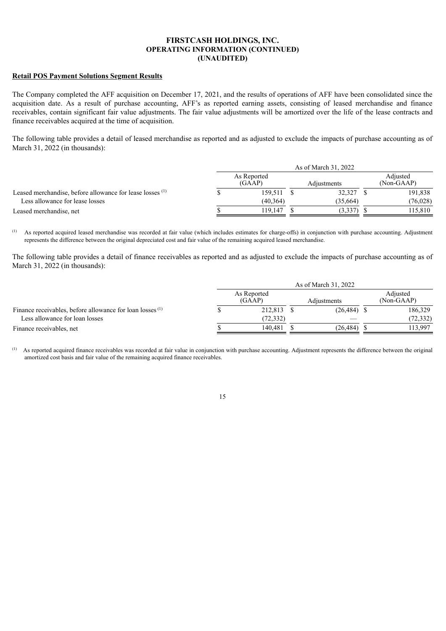#### **Retail POS Payment Solutions Segment Results**

The Company completed the AFF acquisition on December 17, 2021, and the results of operations of AFF have been consolidated since the acquisition date. As a result of purchase accounting, AFF's as reported earning assets, consisting of leased merchandise and finance receivables, contain significant fair value adjustments. The fair value adjustments will be amortized over the life of the lease contracts and finance receivables acquired at the time of acquisition.

The following table provides a detail of leased merchandise as reported and as adjusted to exclude the impacts of purchase accounting as of March 31, 2022 (in thousands):

|                                                                      | As of March 31, 2022  |             |                        |  |  |  |  |  |  |  |
|----------------------------------------------------------------------|-----------------------|-------------|------------------------|--|--|--|--|--|--|--|
|                                                                      | As Reported<br>(GAAP) | Adjustments | Adjusted<br>(Non-GAAP) |  |  |  |  |  |  |  |
| Leased merchandise, before allowance for lease losses <sup>(1)</sup> | 159.511               | 32,327      | 191,838                |  |  |  |  |  |  |  |
| Less allowance for lease losses                                      | (40.364)              | (35.664)    | (76, 028)              |  |  |  |  |  |  |  |
| Leased merchandise, net                                              | 119.147               | (3,337)     | 115.810                |  |  |  |  |  |  |  |

 $^{(1)}$  As reported acquired leased merchandise was recorded at fair value (which includes estimates for charge-offs) in conjunction with purchase accounting. Adjustment represents the difference between the original depreciated cost and fair value of the remaining acquired leased merchandise.

The following table provides a detail of finance receivables as reported and as adjusted to exclude the impacts of purchase accounting as of March 31, 2022 (in thousands):

|                                                                      | As of March 31, 2022  |             |                |  |                          |  |  |  |  |
|----------------------------------------------------------------------|-----------------------|-------------|----------------|--|--------------------------|--|--|--|--|
|                                                                      | As Reported<br>(GAAP) | Adjustments |                |  | Adjusted<br>$(Non-GAAP)$ |  |  |  |  |
| Finance receivables, before allowance for loan losses <sup>(1)</sup> | 212,813 \$            |             | $(26, 484)$ \$ |  | 186,329                  |  |  |  |  |
| Less allowance for loan losses                                       | (72, 332)             |             |                |  | (72, 332)                |  |  |  |  |
| Finance receivables, net                                             | 140.481               |             | $(26, 484)$ \$ |  | 113.997                  |  |  |  |  |

<sup>(1)</sup> As reported acquired finance receivables was recorded at fair value in conjunction with purchase accounting. Adjustment represents the difference between the original amortized cost basis and fair value of the remaining acquired finance receivables.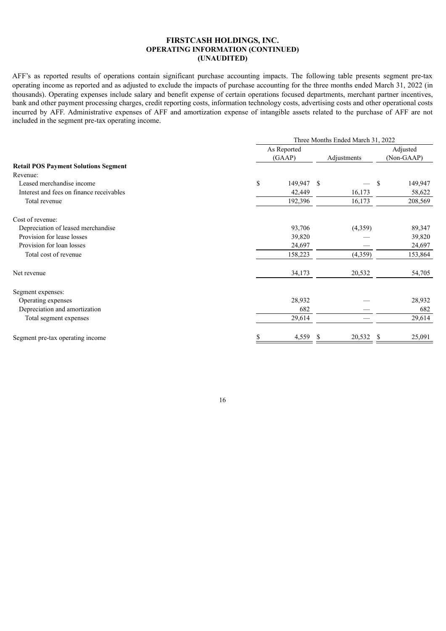AFF's as reported results of operations contain significant purchase accounting impacts. The following table presents segment pre-tax operating income as reported and as adjusted to exclude the impacts of purchase accounting for the three months ended March 31, 2022 (in thousands). Operating expenses include salary and benefit expense of certain operations focused departments, merchant partner incentives, bank and other payment processing charges, credit reporting costs, information technology costs, advertising costs and other operational costs incurred by AFF. Administrative expenses of AFF and amortization expense of intangible assets related to the purchase of AFF are not included in the segment pre-tax operating income.

|                                             | Three Months Ended March 31, 2022 |             |             |               |  |  |
|---------------------------------------------|-----------------------------------|-------------|-------------|---------------|--|--|
|                                             |                                   | As Reported |             | Adjusted      |  |  |
|                                             |                                   | (GAAP)      | Adjustments | (Non-GAAP)    |  |  |
| <b>Retail POS Payment Solutions Segment</b> |                                   |             |             |               |  |  |
| Revenue:                                    |                                   |             |             |               |  |  |
| Leased merchandise income                   | \$                                | 149,947     | -S          | 149,947<br>\$ |  |  |
| Interest and fees on finance receivables    |                                   | 42,449      | 16,173      | 58,622        |  |  |
| Total revenue                               |                                   | 192,396     | 16,173      | 208,569       |  |  |
| Cost of revenue:                            |                                   |             |             |               |  |  |
| Depreciation of leased merchandise          |                                   | 93,706      | (4,359)     | 89,347        |  |  |
| Provision for lease losses                  |                                   | 39,820      |             | 39,820        |  |  |
| Provision for loan losses                   |                                   | 24,697      |             | 24,697        |  |  |
| Total cost of revenue                       |                                   | 158,223     | (4,359)     | 153,864       |  |  |
| Net revenue                                 |                                   | 34,173      | 20,532      | 54,705        |  |  |
| Segment expenses:                           |                                   |             |             |               |  |  |
| Operating expenses                          |                                   | 28,932      |             | 28,932        |  |  |
| Depreciation and amortization               |                                   | 682         |             | 682           |  |  |
| Total segment expenses                      |                                   | 29,614      |             | 29,614        |  |  |
| Segment pre-tax operating income            |                                   | 4,559       | 20,532      | 25,091<br>S   |  |  |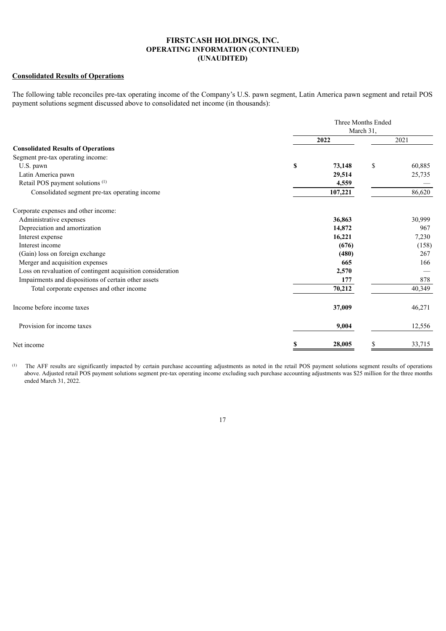# **Consolidated Results of Operations**

The following table reconciles pre-tax operating income of the Company's U.S. pawn segment, Latin America pawn segment and retail POS payment solutions segment discussed above to consolidated net income (in thousands):

|                                                             |    | Three Months Ended |    |        |  |  |  |  |
|-------------------------------------------------------------|----|--------------------|----|--------|--|--|--|--|
|                                                             |    |                    |    |        |  |  |  |  |
|                                                             |    | 2022               |    |        |  |  |  |  |
| <b>Consolidated Results of Operations</b>                   |    |                    |    |        |  |  |  |  |
| Segment pre-tax operating income:                           |    |                    |    |        |  |  |  |  |
| U.S. pawn                                                   | \$ | 73,148             | \$ | 60,885 |  |  |  |  |
| Latin America pawn                                          |    | 29,514             |    | 25,735 |  |  |  |  |
| Retail POS payment solutions <sup>(1)</sup>                 |    | 4,559              |    |        |  |  |  |  |
| Consolidated segment pre-tax operating income               |    | 107,221            |    | 86,620 |  |  |  |  |
| Corporate expenses and other income:                        |    |                    |    |        |  |  |  |  |
| Administrative expenses                                     |    | 36,863             |    | 30,999 |  |  |  |  |
| Depreciation and amortization                               |    | 14,872             |    | 967    |  |  |  |  |
| Interest expense                                            |    | 16,221             |    | 7,230  |  |  |  |  |
| Interest income                                             |    | (676)              |    | (158)  |  |  |  |  |
| (Gain) loss on foreign exchange                             |    | (480)              |    | 267    |  |  |  |  |
| Merger and acquisition expenses                             |    | 665                |    | 166    |  |  |  |  |
| Loss on revaluation of contingent acquisition consideration |    | 2,570              |    |        |  |  |  |  |
| Impairments and dispositions of certain other assets        |    | 177                |    | 878    |  |  |  |  |
| Total corporate expenses and other income                   |    | 70,212             |    | 40,349 |  |  |  |  |
| Income before income taxes                                  |    | 37,009             |    | 46,271 |  |  |  |  |
| Provision for income taxes                                  |    | 9,004              |    | 12,556 |  |  |  |  |
| Net income                                                  |    | 28,005             | \$ | 33,715 |  |  |  |  |

The AFF results are significantly impacted by certain purchase accounting adjustments as noted in the retail POS payment solutions segment results of operations above. Adjusted retail POS payment solutions segment pre-tax operating income excluding such purchase accounting adjustments was \$25 million for the three months ended March 31, 2022. (1)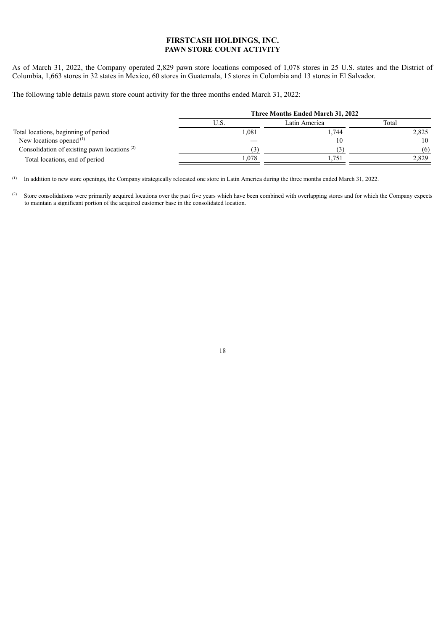#### **FIRSTCASH HOLDINGS, INC. PAWN STORE COUNT ACTIVITY**

As of March 31, 2022, the Company operated 2,829 pawn store locations composed of 1,078 stores in 25 U.S. states and the District of Columbia, 1,663 stores in 32 states in Mexico, 60 stores in Guatemala, 15 stores in Colombia and 13 stores in El Salvador.

The following table details pawn store count activity for the three months ended March 31, 2022:

|                                                                      | Three Months Ended March 31, 2022 |               |       |  |  |  |  |  |  |
|----------------------------------------------------------------------|-----------------------------------|---------------|-------|--|--|--|--|--|--|
|                                                                      | U.S.                              | Latin America | Total |  |  |  |  |  |  |
| Total locations, beginning of period                                 | 1.081                             | .744          | 2,825 |  |  |  |  |  |  |
| New locations opened $(1)$                                           |                                   | 10            | 10    |  |  |  |  |  |  |
| Consolidation of existing pawn locations <sup><math>(2)</math></sup> |                                   | (3)           | (6)   |  |  |  |  |  |  |
| Total locations, end of period                                       | 1.078                             | .751          | 2,829 |  |  |  |  |  |  |

In addition to new store openings, the Company strategically relocated one store in Latin America during the three months ended March 31, 2022. (1)

Store consolidations were primarily acquired locations over the past five years which have been combined with overlapping stores and for which the Company expects to maintain a significant portion of the acquired customer base in the consolidated location. (2)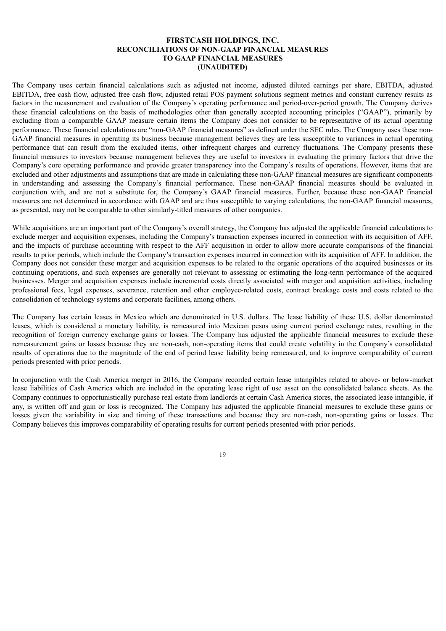The Company uses certain financial calculations such as adjusted net income, adjusted diluted earnings per share, EBITDA, adjusted EBITDA, free cash flow, adjusted free cash flow, adjusted retail POS payment solutions segment metrics and constant currency results as factors in the measurement and evaluation of the Company's operating performance and period-over-period growth. The Company derives these financial calculations on the basis of methodologies other than generally accepted accounting principles ("GAAP"), primarily by excluding from a comparable GAAP measure certain items the Company does not consider to be representative of its actual operating performance. These financial calculations are "non-GAAP financial measures" as defined under the SEC rules. The Company uses these non-GAAP financial measures in operating its business because management believes they are less susceptible to variances in actual operating performance that can result from the excluded items, other infrequent charges and currency fluctuations. The Company presents these financial measures to investors because management believes they are useful to investors in evaluating the primary factors that drive the Company's core operating performance and provide greater transparency into the Company's results of operations. However, items that are excluded and other adjustments and assumptions that are made in calculating these non-GAAP financial measures are significant components in understanding and assessing the Company's financial performance. These non-GAAP financial measures should be evaluated in conjunction with, and are not a substitute for, the Company's GAAP financial measures. Further, because these non-GAAP financial measures are not determined in accordance with GAAP and are thus susceptible to varying calculations, the non-GAAP financial measures, as presented, may not be comparable to other similarly-titled measures of other companies.

While acquisitions are an important part of the Company's overall strategy, the Company has adjusted the applicable financial calculations to exclude merger and acquisition expenses, including the Company's transaction expenses incurred in connection with its acquisition of AFF, and the impacts of purchase accounting with respect to the AFF acquisition in order to allow more accurate comparisons of the financial results to prior periods, which include the Company's transaction expenses incurred in connection with its acquisition of AFF. In addition, the Company does not consider these merger and acquisition expenses to be related to the organic operations of the acquired businesses or its continuing operations, and such expenses are generally not relevant to assessing or estimating the long-term performance of the acquired businesses. Merger and acquisition expenses include incremental costs directly associated with merger and acquisition activities, including professional fees, legal expenses, severance, retention and other employee-related costs, contract breakage costs and costs related to the consolidation of technology systems and corporate facilities, among others.

The Company has certain leases in Mexico which are denominated in U.S. dollars. The lease liability of these U.S. dollar denominated leases, which is considered a monetary liability, is remeasured into Mexican pesos using current period exchange rates, resulting in the recognition of foreign currency exchange gains or losses. The Company has adjusted the applicable financial measures to exclude these remeasurement gains or losses because they are non-cash, non-operating items that could create volatility in the Company's consolidated results of operations due to the magnitude of the end of period lease liability being remeasured, and to improve comparability of current periods presented with prior periods.

In conjunction with the Cash America merger in 2016, the Company recorded certain lease intangibles related to above- or below-market lease liabilities of Cash America which are included in the operating lease right of use asset on the consolidated balance sheets. As the Company continues to opportunistically purchase real estate from landlords at certain Cash America stores, the associated lease intangible, if any, is written off and gain or loss is recognized. The Company has adjusted the applicable financial measures to exclude these gains or losses given the variability in size and timing of these transactions and because they are non-cash, non-operating gains or losses. The Company believes this improves comparability of operating results for current periods presented with prior periods.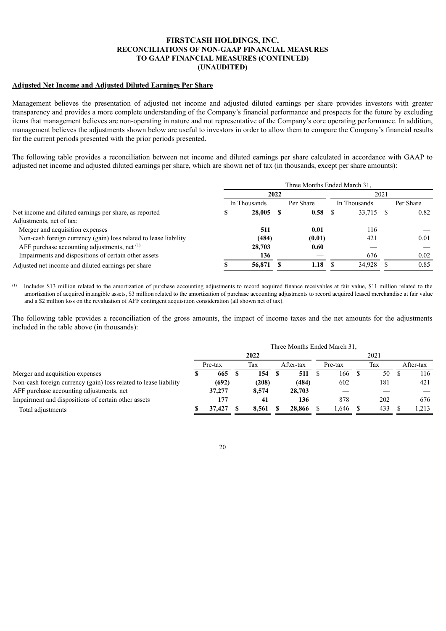#### **Adjusted Net Income and Adjusted Diluted Earnings Per Share**

Management believes the presentation of adjusted net income and adjusted diluted earnings per share provides investors with greater transparency and provides a more complete understanding of the Company's financial performance and prospects for the future by excluding items that management believes are non-operating in nature and not representative of the Company's core operating performance. In addition, management believes the adjustments shown below are useful to investors in order to allow them to compare the Company's financial results for the current periods presented with the prior periods presented.

The following table provides a reconciliation between net income and diluted earnings per share calculated in accordance with GAAP to adjusted net income and adjusted diluted earnings per share, which are shown net of tax (in thousands, except per share amounts):

|                                                                  | Three Months Ended March 31. |              |  |           |              |        |      |           |  |  |  |  |
|------------------------------------------------------------------|------------------------------|--------------|--|-----------|--------------|--------|------|-----------|--|--|--|--|
|                                                                  | 2022                         |              |  |           |              |        | 2021 |           |  |  |  |  |
|                                                                  |                              | In Thousands |  | Per Share | In Thousands |        |      | Per Share |  |  |  |  |
| Net income and diluted earnings per share, as reported           |                              | 28,005       |  | 0.58      |              | 33,715 |      | 0.82      |  |  |  |  |
| Adjustments, net of tax:                                         |                              |              |  |           |              |        |      |           |  |  |  |  |
| Merger and acquisition expenses                                  |                              | 511          |  | 0.01      |              | 116    |      |           |  |  |  |  |
| Non-cash foreign currency (gain) loss related to lease liability |                              | (484)        |  | (0.01)    |              | 421    |      | 0.01      |  |  |  |  |
| AFF purchase accounting adjustments, net $(1)$                   |                              | 28,703       |  | 0.60      |              |        |      |           |  |  |  |  |
| Impairments and dispositions of certain other assets             |                              | 136          |  |           |              | 676    |      | 0.02      |  |  |  |  |
| Adjusted net income and diluted earnings per share               |                              | 56,871       |  | 1.18      |              | 34,928 |      | 0.85      |  |  |  |  |

Includes \$13 million related to the amortization of purchase accounting adjustments to record acquired finance receivables at fair value, \$11 million related to the amortization of acquired intangible assets, \$3 million related to the amortization of purchase accounting adjustments to record acquired leased merchandise at fair value and a \$2 million loss on the revaluation of AFF contingent acquisition consideration (all shown net of tax). (1)

The following table provides a reconciliation of the gross amounts, the impact of income taxes and the net amounts for the adjustments included in the table above (in thousands):

|                                                                  | Three Months Ended March 31. |         |  |       |  |           |  |         |      |     |  |           |  |  |  |
|------------------------------------------------------------------|------------------------------|---------|--|-------|--|-----------|--|---------|------|-----|--|-----------|--|--|--|
|                                                                  |                              |         |  | 2022  |  |           |  |         | 2021 |     |  |           |  |  |  |
|                                                                  |                              | Pre-tax |  | Tax   |  | After-tax |  | Pre-tax |      | Tax |  | After-tax |  |  |  |
| Merger and acquisition expenses                                  |                              | 665     |  | 154   |  | 511       |  | 166     |      | 50  |  | 116       |  |  |  |
| Non-cash foreign currency (gain) loss related to lease liability |                              | (692)   |  | (208) |  | (484)     |  | 602     |      | 181 |  | 421       |  |  |  |
| AFF purchase accounting adjustments, net                         |                              | 37,277  |  | 8,574 |  | 28,703    |  |         |      |     |  |           |  |  |  |
| Impairment and dispositions of certain other assets              |                              | 177     |  | 41    |  | 136       |  | 878     |      | 202 |  | 676       |  |  |  |
| Total adjustments                                                |                              | 37,427  |  | 8,561 |  | 28.866    |  | .646    |      | 433 |  | .213      |  |  |  |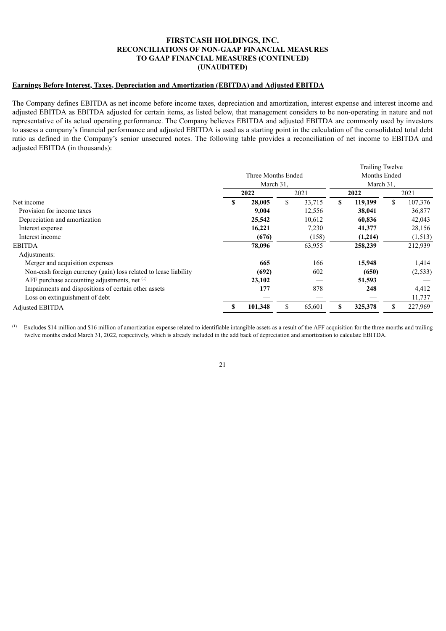### **Earnings Before Interest, Taxes, Depreciation and Amortization (EBITDA) and Adjusted EBITDA**

The Company defines EBITDA as net income before income taxes, depreciation and amortization, interest expense and interest income and adjusted EBITDA as EBITDA adjusted for certain items, as listed below, that management considers to be non-operating in nature and not representative of its actual operating performance. The Company believes EBITDA and adjusted EBITDA are commonly used by investors to assess a company's financial performance and adjusted EBITDA is used as a starting point in the calculation of the consolidated total debt ratio as defined in the Company's senior unsecured notes. The following table provides a reconciliation of net income to EBITDA and adjusted EBITDA (in thousands):

|                                                                  | Three Months Ended<br>March 31. |         |    |        |   | <b>Trailing Twelve</b><br>Months Ended<br>March 31, |    |         |  |  |  |
|------------------------------------------------------------------|---------------------------------|---------|----|--------|---|-----------------------------------------------------|----|---------|--|--|--|
|                                                                  | 2021<br>2022                    |         |    |        |   | 2022                                                |    | 2021    |  |  |  |
| Net income                                                       | S                               | 28,005  | \$ | 33,715 | S | 119,199                                             | \$ | 107,376 |  |  |  |
| Provision for income taxes                                       |                                 | 9.004   |    | 12,556 |   | 38,041                                              |    | 36,877  |  |  |  |
| Depreciation and amortization                                    |                                 | 25,542  |    | 10,612 |   | 60,836                                              |    | 42,043  |  |  |  |
| Interest expense                                                 |                                 | 16,221  |    | 7,230  |   | 41,377                                              |    | 28,156  |  |  |  |
| Interest income                                                  |                                 | (676)   |    | (158)  |   | (1,214)                                             |    | (1,513) |  |  |  |
| <b>EBITDA</b>                                                    |                                 | 78,096  |    | 63,955 |   | 258,239                                             |    | 212,939 |  |  |  |
| Adjustments:                                                     |                                 |         |    |        |   |                                                     |    |         |  |  |  |
| Merger and acquisition expenses                                  |                                 | 665     |    | 166    |   | 15,948                                              |    | 1,414   |  |  |  |
| Non-cash foreign currency (gain) loss related to lease liability |                                 | (692)   |    | 602    |   | (650)                                               |    | (2,533) |  |  |  |
| AFF purchase accounting adjustments, net $(1)$                   |                                 | 23,102  |    |        |   | 51,593                                              |    |         |  |  |  |
| Impairments and dispositions of certain other assets             |                                 | 177     |    | 878    |   | 248                                                 |    | 4,412   |  |  |  |
| Loss on extinguishment of debt                                   |                                 |         |    |        |   |                                                     |    | 11,737  |  |  |  |
| <b>Adjusted EBITDA</b>                                           |                                 | 101,348 | S  | 65,601 | S | 325,378                                             | \$ | 227,969 |  |  |  |

 $^{(1)}$  Excludes \$14 million and \$16 million of amortization expense related to identifiable intangible assets as a result of the AFF acquisition for the three months and trailing twelve months ended March 31, 2022, respectively, which is already included in the add back of depreciation and amortization to calculate EBITDA.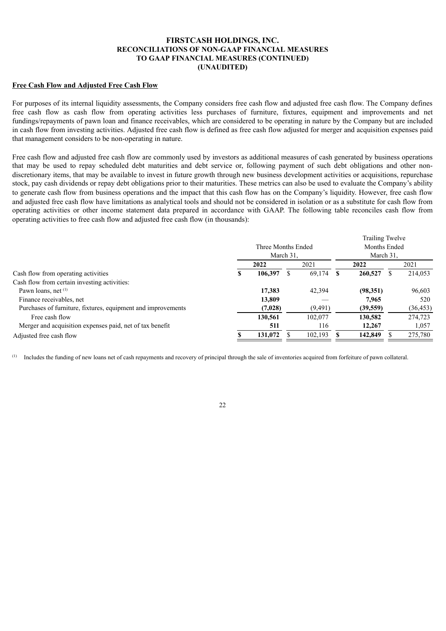# **Free Cash Flow and Adjusted Free Cash Flow**

For purposes of its internal liquidity assessments, the Company considers free cash flow and adjusted free cash flow. The Company defines free cash flow as cash flow from operating activities less purchases of furniture, fixtures, equipment and improvements and net fundings/repayments of pawn loan and finance receivables, which are considered to be operating in nature by the Company but are included in cash flow from investing activities. Adjusted free cash flow is defined as free cash flow adjusted for merger and acquisition expenses paid that management considers to be non-operating in nature.

Free cash flow and adjusted free cash flow are commonly used by investors as additional measures of cash generated by business operations that may be used to repay scheduled debt maturities and debt service or, following payment of such debt obligations and other nondiscretionary items, that may be available to invest in future growth through new business development activities or acquisitions, repurchase stock, pay cash dividends or repay debt obligations prior to their maturities. These metrics can also be used to evaluate the Company's ability to generate cash flow from business operations and the impact that this cash flow has on the Company's liquidity. However, free cash flow and adjusted free cash flow have limitations as analytical tools and should not be considered in isolation or as a substitute for cash flow from operating activities or other income statement data prepared in accordance with GAAP. The following table reconciles cash flow from operating activities to free cash flow and adjusted free cash flow (in thousands):

|                                                              |              |                    |           |             |              | <b>Trailing Twelve</b> |      |           |  |  |
|--------------------------------------------------------------|--------------|--------------------|-----------|-------------|--------------|------------------------|------|-----------|--|--|
|                                                              |              | Three Months Ended |           |             | Months Ended |                        |      |           |  |  |
|                                                              |              |                    | March 31, |             | March 31.    |                        |      |           |  |  |
|                                                              | 2021<br>2022 |                    |           |             |              | 2022                   | 2021 |           |  |  |
| Cash flow from operating activities                          | S            | 106,397            |           | $69,174$ \$ |              | 260,527                |      | 214,053   |  |  |
| Cash flow from certain investing activities:                 |              |                    |           |             |              |                        |      |           |  |  |
| Pawn loans, net $(1)$                                        |              | 17,383             |           | 42,394      |              | (98, 351)              |      | 96,603    |  |  |
| Finance receivables, net                                     |              | 13,809             |           |             |              | 7.965                  |      | 520       |  |  |
| Purchases of furniture, fixtures, equipment and improvements |              | (7,028)            |           | (9,491)     |              | (39, 559)              |      | (36, 453) |  |  |
| Free cash flow                                               |              | 130,561            |           | 102,077     |              | 130,582                |      | 274,723   |  |  |
| Merger and acquisition expenses paid, net of tax benefit     |              | 511                |           | 116         |              | 12,267                 |      | 1,057     |  |  |
| Adjusted free cash flow                                      |              | 131,072            |           | 102,193     |              | 142,849                |      | 275,780   |  |  |

<sup>(1)</sup> Includes the funding of new loans net of cash repayments and recovery of principal through the sale of inventories acquired from forfeiture of pawn collateral.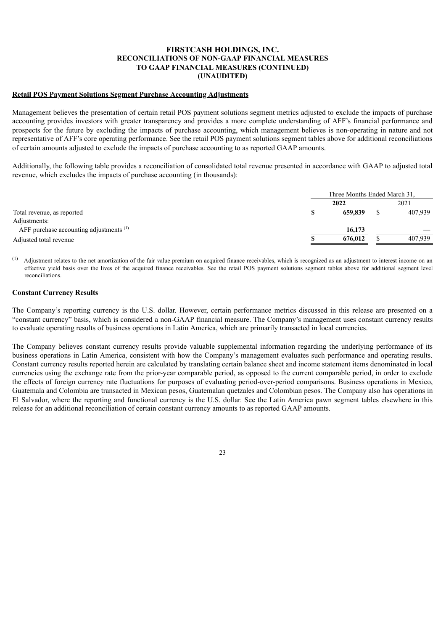#### **Retail POS Payment Solutions Segment Purchase Accounting Adjustments**

Management believes the presentation of certain retail POS payment solutions segment metrics adjusted to exclude the impacts of purchase accounting provides investors with greater transparency and provides a more complete understanding of AFF's financial performance and prospects for the future by excluding the impacts of purchase accounting, which management believes is non-operating in nature and not representative of AFF's core operating performance. See the retail POS payment solutions segment tables above for additional reconciliations of certain amounts adjusted to exclude the impacts of purchase accounting to as reported GAAP amounts.

Additionally, the following table provides a reconciliation of consolidated total revenue presented in accordance with GAAP to adjusted total revenue, which excludes the impacts of purchase accounting (in thousands):

|                                                    | Three Months Ended March 31, |         |  |
|----------------------------------------------------|------------------------------|---------|--|
|                                                    | 2022                         | 2021    |  |
| Total revenue, as reported                         | 659,839                      | 407,939 |  |
| Adjustments:                                       |                              |         |  |
| AFF purchase accounting adjustments <sup>(1)</sup> | 16,173                       |         |  |
| Adjusted total revenue                             | 676.012                      | 407.939 |  |

Adjustment relates to the net amortization of the fair value premium on acquired finance receivables, which is recognized as an adjustment to interest income on an effective yield basis over the lives of the acquired finance receivables. See the retail POS payment solutions segment tables above for additional segment level reconciliations. (1)

### **Constant Currency Results**

The Company's reporting currency is the U.S. dollar. However, certain performance metrics discussed in this release are presented on a "constant currency" basis, which is considered a non-GAAP financial measure. The Company's management uses constant currency results to evaluate operating results of business operations in Latin America, which are primarily transacted in local currencies.

The Company believes constant currency results provide valuable supplemental information regarding the underlying performance of its business operations in Latin America, consistent with how the Company's management evaluates such performance and operating results. Constant currency results reported herein are calculated by translating certain balance sheet and income statement items denominated in local currencies using the exchange rate from the prior-year comparable period, as opposed to the current comparable period, in order to exclude the effects of foreign currency rate fluctuations for purposes of evaluating period-over-period comparisons. Business operations in Mexico, Guatemala and Colombia are transacted in Mexican pesos, Guatemalan quetzales and Colombian pesos. The Company also has operations in El Salvador, where the reporting and functional currency is the U.S. dollar. See the Latin America pawn segment tables elsewhere in this release for an additional reconciliation of certain constant currency amounts to as reported GAAP amounts.